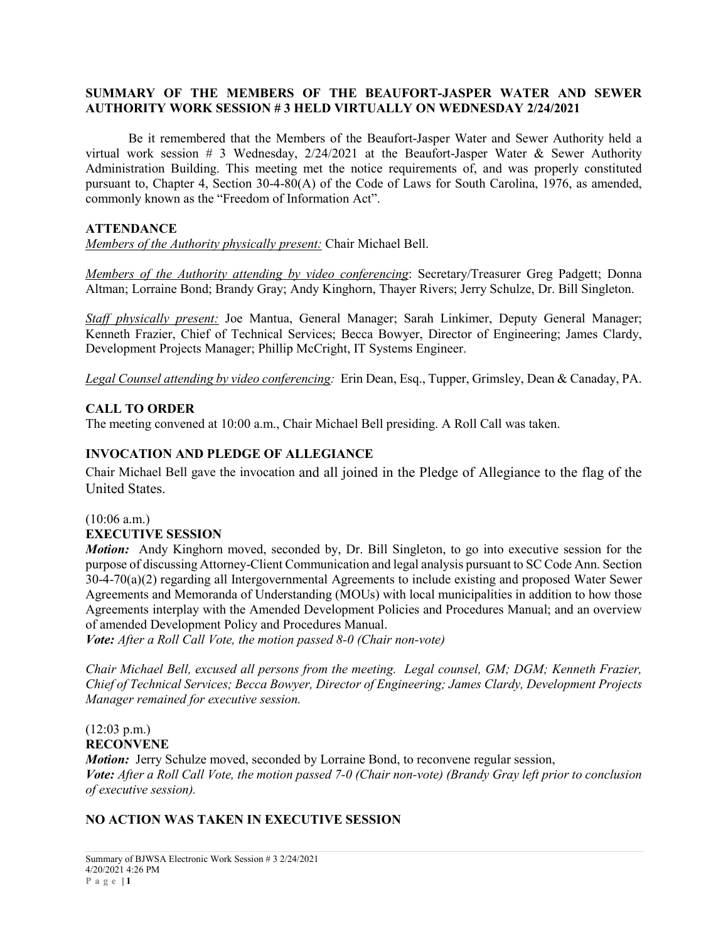### **SUMMARY OF THE MEMBERS OF THE BEAUFORT-JASPER WATER AND SEWER AUTHORITY WORK SESSION # 3 HELD VIRTUALLY ON WEDNESDAY 2/24/2021**

Be it remembered that the Members of the Beaufort-Jasper Water and Sewer Authority held a virtual work session # 3 Wednesday,  $2/24/2021$  at the Beaufort-Jasper Water & Sewer Authority Administration Building. This meeting met the notice requirements of, and was properly constituted pursuant to, Chapter 4, Section 30-4-80(A) of the Code of Laws for South Carolina, 1976, as amended, commonly known as the "Freedom of Information Act".

## **ATTENDANCE**

*Members of the Authority physically present:* Chair Michael Bell.

*Members of the Authority attending by video conferencing*: Secretary/Treasurer Greg Padgett; Donna Altman; Lorraine Bond; Brandy Gray; Andy Kinghorn, Thayer Rivers; Jerry Schulze, Dr. Bill Singleton.

*Staff physically present:* Joe Mantua, General Manager; Sarah Linkimer, Deputy General Manager; Kenneth Frazier, Chief of Technical Services; Becca Bowyer, Director of Engineering; James Clardy, Development Projects Manager; Phillip McCright, IT Systems Engineer.

*Legal Counsel attending by video conferencing:* Erin Dean, Esq., Tupper, Grimsley, Dean & Canaday, PA.

## **CALL TO ORDER**

The meeting convened at 10:00 a.m., Chair Michael Bell presiding. A Roll Call was taken.

## **INVOCATION AND PLEDGE OF ALLEGIANCE**

Chair Michael Bell gave the invocation and all joined in the Pledge of Allegiance to the flag of the United States.

# $(10:06$  a.m.)

## **EXECUTIVE SESSION**

*Motion:* Andy Kinghorn moved, seconded by, Dr. Bill Singleton, to go into executive session for the purpose of discussing Attorney-Client Communication and legal analysis pursuant to SC Code Ann. Section 30-4-70(a)(2) regarding all Intergovernmental Agreements to include existing and proposed Water Sewer Agreements and Memoranda of Understanding (MOUs) with local municipalities in addition to how those Agreements interplay with the Amended Development Policies and Procedures Manual; and an overview of amended Development Policy and Procedures Manual.

*Vote: After a Roll Call Vote, the motion passed 8-0 (Chair non-vote)*

*Chair Michael Bell, excused all persons from the meeting. Legal counsel, GM; DGM; Kenneth Frazier, Chief of Technical Services; Becca Bowyer, Director of Engineering; James Clardy, Development Projects Manager remained for executive session.*

#### (12:03 p.m.) **RECONVENE**

*Motion:* Jerry Schulze moved, seconded by Lorraine Bond, to reconvene regular session, *Vote: After a Roll Call Vote, the motion passed 7-0 (Chair non-vote) (Brandy Gray left prior to conclusion of executive session).*

## **NO ACTION WAS TAKEN IN EXECUTIVE SESSION**